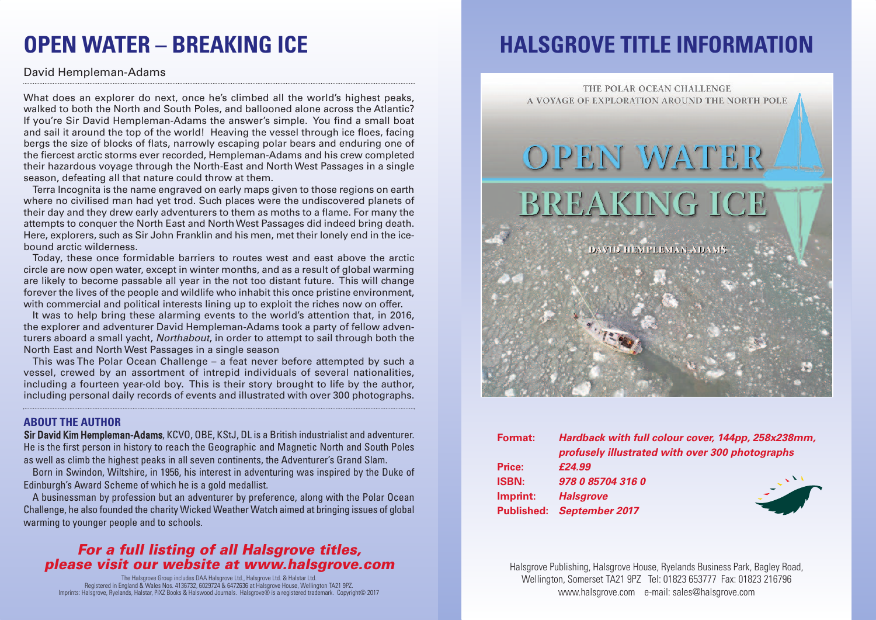## **OPEN WATER – BREAKING ICE**

### David Hempleman-Adams

What does an explorer do next, once he's climbed all the world's highest peaks, walked to both the North and South Poles, and ballooned alone across the Atlantic? If you're Sir David Hempleman-Adams the answer's simple. You find a small boat and sail it around the top of the world! Heaving the vessel through ice floes, facing bergs the size of blocks of flats, narrowly escaping polar bears and enduring one of the fiercest arctic storms ever recorded, Hempleman-Adams and his crew completed their hazardous voyage through the North-East and North West Passages in a single season, defeating all that nature could throw at them.

Terra Incognita is the name engraved on early maps given to those regions on earth where no civilised man had yet trod. Such places were the undiscovered planets of their day and they drew early adventurers to them as moths to a flame. For many the attempts to conquer the North East and NorthWest Passages did indeed bring death. Here, explorers, such as Sir John Franklin and his men, met their lonely end in the icebound arctic wilderness.

Today, these once formidable barriers to routes west and east above the arctic circle are now open water, except in winter months, and as a result of global warming are likely to become passable all year in the not too distant future. This will change forever the lives of the people and wildlife who inhabit this once pristine environment, with commercial and political interests lining up to exploit the riches now on offer.

It was to help bring these alarming events to the world's attention that, in 2016, the explorer and adventurer David Hempleman-Adams took a party of fellow adventurers aboard a small yacht, *Northabout*, in order to attempt to sail through both the North East and North West Passages in a single season

This was The Polar Ocean Challenge – a feat never before attempted by such a vessel, crewed by an assortment of intrepid individuals of several nationalities, including a fourteen year-old boy. This is their story brought to life by the author, including personal daily records of events and illustrated with over 300 photographs.

#### **ABOUT THE AUTHOR**

Sir David Kim Hempleman-Adams, KCVO, OBE, KStJ, DL is a British industrialist and adventurer. He is the first person in history to reach the Geographic and Magnetic North and South Poles as well as climb the highest peaks in all seven continents, the Adventurer's Grand Slam.

Born in Swindon, Wiltshire, in 1956, his interest in adventuring was inspired by the Duke of Edinburgh's Award Scheme of which he is a gold medallist.

A businessman by profession but an adventurer by preference, along with the Polar Ocean Challenge, he also founded the charity Wicked Weather Watch aimed at bringing issues of global warming to younger people and to schools.

### *For a full listing of all Halsgrove titles, please visit our website at www.halsgrove.com*

The Halsgrove Group includes DAA Halsgrove Ltd., Halsgrove Ltd. & Halstar Ltd. Registered in England & Wales Nos. 4136732, 6029724 & 6472636 at Halsgrove House, Wellington TA21 9PZ. Imprints: Halsgrove, Ryelands, Halstar, PiXZ Books & Halswood Journals. Halsgrove® is a registered trademark. Copyright© 2017

## **HALSGROVE TITLE INFORMATION**



| Format:      | Hardback with full colour cover, 144pp, 258x238mm,<br>profusely illustrated with over 300 photographs |  |
|--------------|-------------------------------------------------------------------------------------------------------|--|
| Price:       | £24.99                                                                                                |  |
| <b>ISBN:</b> | 978 0 85704 316 0                                                                                     |  |
| Imprint:     | <b>Halsgrove</b>                                                                                      |  |
|              | <b>Published: September 2017</b>                                                                      |  |
|              |                                                                                                       |  |

Halsgrove Publishing, Halsgrove House, Ryelands Business Park, Bagley Road, Wellington, Somerset TA21 9PZ Tel: 01823 653777 Fax: 01823 216796 www.halsgrove.com e-mail: sales@halsgrove.com